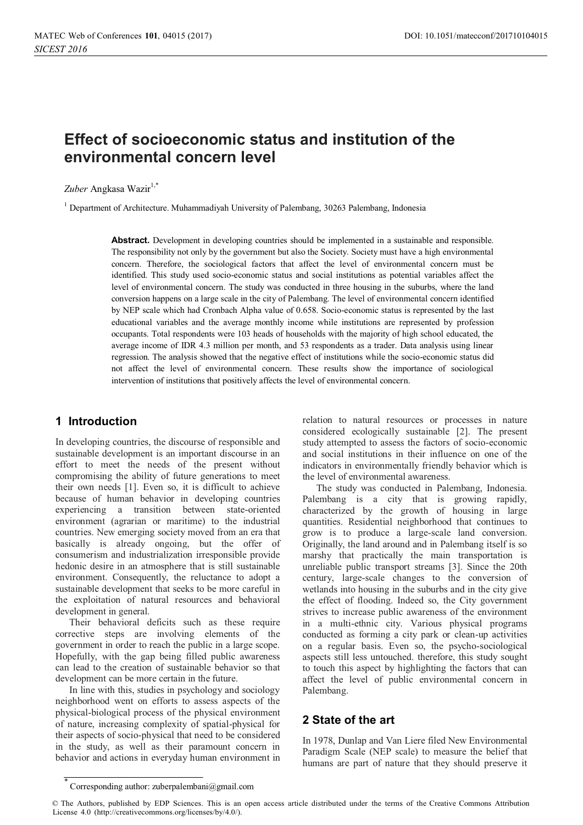# **Effect of socioeconomic status and institution of the environmental concern level**

Zuber Angkasa Wazir<sup>1,\*</sup>

<sup>1</sup> Department of Architecture. Muhammadiyah University of Palembang, 30263 Palembang, Indonesia

**Abstract.** Development in developing countries should be implemented in a sustainable and responsible. The responsibility not only by the government but also the Society. Society must have a high environmental concern. Therefore, the sociological factors that affect the level of environmental concern must be identified. This study used socio-economic status and social institutions as potential variables affect the level of environmental concern. The study was conducted in three housing in the suburbs, where the land conversion happens on a large scale in the city of Palembang. The level of environmental concern identified by NEP scale which had Cronbach Alpha value of 0.658. Socio-economic status is represented by the last educational variables and the average monthly income while institutions are represented by profession occupants. Total respondents were 103 heads of households with the majority of high school educated, the average income of IDR 4.3 million per month, and 53 respondents as a trader. Data analysis using linear regression. The analysis showed that the negative effect of institutions while the socio-economic status did not affect the level of environmental concern. These results show the importance of sociological intervention of institutions that positively affects the level of environmental concern.

## **1 Introduction**

In developing countries, the discourse of responsible and sustainable development is an important discourse in an effort to meet the needs of the present without compromising the ability of future generations to meet their own needs [1]. Even so, it is difficult to achieve because of human behavior in developing countries experiencing a transition between state-oriented environment (agrarian or maritime) to the industrial countries. New emerging society moved from an era that basically is already ongoing, but the offer of consumerism and industrialization irresponsible provide hedonic desire in an atmosphere that is still sustainable environment. Consequently, the reluctance to adopt a sustainable development that seeks to be more careful in the exploitation of natural resources and behavioral development in general.

Their behavioral deficits such as these require corrective steps are involving elements of the government in order to reach the public in a large scope. Hopefully, with the gap being filled public awareness can lead to the creation of sustainable behavior so that development can be more certain in the future.

In line with this, studies in psychology and sociology neighborhood went on efforts to assess aspects of the physical-biological process of the physical environment of nature, increasing complexity of spatial-physical for their aspects of socio-physical that need to be considered in the study, as well as their paramount concern in behavior and actions in everyday human environment in

relation to natural resources or processes in nature considered ecologically sustainable [2]. The present study attempted to assess the factors of socio-economic and social institutions in their influence on one of the indicators in environmentally friendly behavior which is the level of environmental awareness.

The study was conducted in Palembang, Indonesia. Palembang is a city that is growing rapidly, characterized by the growth of housing in large quantities. Residential neighborhood that continues to grow is to produce a large-scale land conversion. Originally, the land around and in Palembang itself is so marshy that practically the main transportation is unreliable public transport streams [3]. Since the 20th century, large-scale changes to the conversion of wetlands into housing in the suburbs and in the city give the effect of flooding. Indeed so, the City government strives to increase public awareness of the environment in a multi-ethnic city. Various physical programs conducted as forming a city park or clean-up activities on a regular basis. Even so, the psycho-sociological aspects still less untouched. therefore, this study sought to touch this aspect by highlighting the factors that can affect the level of public environmental concern in Palembang.

# **2 State of the art**

In 1978, Dunlap and Van Liere filed New Environmental Paradigm Scale (NEP scale) to measure the belief that humans are part of nature that they should preserve it

<sup>\*</sup> Corresponding author: zuberpalembani@gmail.com

<sup>©</sup> The Authors, published by EDP Sciences. This is an open access article distributed under the terms of the Creative Commons Attribution License 4.0 (http://creativecommons.org/licenses/by/4.0/).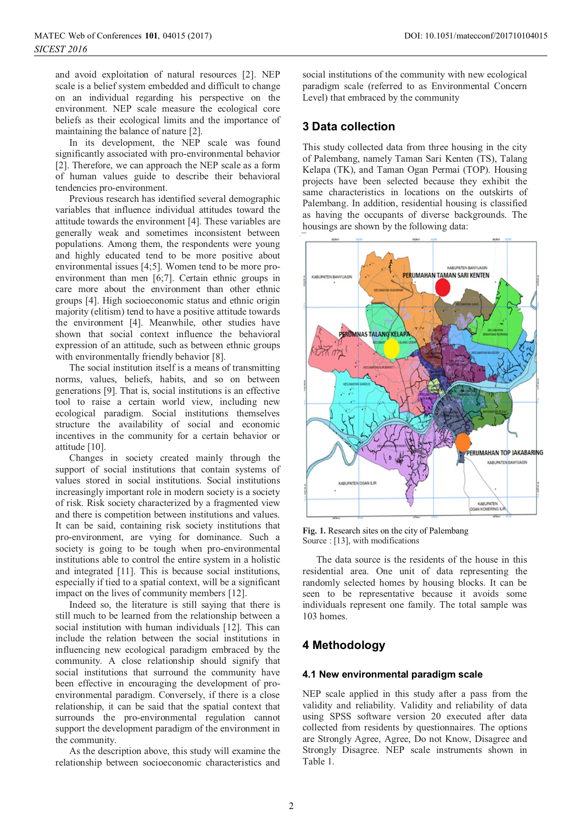and avoid exploitation of natural resources [2]. NEP scale is a belief system embedded and difficult to change on an individual regarding his perspective on the environment. NEP scale measure the ecological core beliefs as their ecological limits and the importance of

maintaining the balance of nature [2]. In its development, the NEP scale was found significantly associated with pro-environmental behavior [2]. Therefore, we can approach the NEP scale as a form of human values guide to describe their behavioral tendencies pro-environment.

Previous research has identified several demographic variables that influence individual attitudes toward the attitude towards the environment [4]. These variables are generally weak and sometimes inconsistent between populations. Among them, the respondents were young and highly educated tend to be more positive about environmental issues [4;5]. Women tend to be more proenvironment than men [6;7]. Certain ethnic groups in care more about the environment than other ethnic groups [4]. High socioeconomic status and ethnic origin majority (elitism) tend to have a positive attitude towards the environment [4]. Meanwhile, other studies have shown that social context influence the behavioral expression of an attitude, such as between ethnic groups with environmentally friendly behavior [8].

The social institution itself is a means of transmitting norms, values, beliefs, habits, and so on between generations [9]. That is, social institutions is an effective tool to raise a certain world view, including new ecological paradigm. Social institutions themselves structure the availability of social and economic incentives in the community for a certain behavior or attitude [10].

Changes in society created mainly through the support of social institutions that contain systems of values stored in social institutions. Social institutions increasingly important role in modern society is a society of risk. Risk society characterized by a fragmented view and there is competition between institutions and values. It can be said, containing risk society institutions that pro-environment, are vying for dominance. Such a society is going to be tough when pro-environmental institutions able to control the entire system in a holistic and integrated [11]. This is because social institutions, especially if tied to a spatial context, will be a significant impact on the lives of community members [12].

Indeed so, the literature is still saying that there is still much to be learned from the relationship between a social institution with human individuals [12]. This can include the relation between the social institutions in influencing new ecological paradigm embraced by the community. A close relationship should signify that social institutions that surround the community have been effective in encouraging the development of proenvironmental paradigm. Conversely, if there is a close relationship, it can be said that the spatial context that surrounds the pro-environmental regulation cannot support the development paradigm of the environment in the community.

As the description above, this study will examine the relationship between socioeconomic characteristics and

social institutions of the community with new ecological paradigm scale (referred to as Environmental Concern Level) that embraced by the community

# **3 Data collection**

This study collected data from three housing in the city of Palembang, namely Taman Sari Kenten (TS), Talang Kelapa (TK), and Taman Ogan Permai (TOP). Housing projects have been selected because they exhibit the same characteristics in locations on the outskirts of Palembang. In addition, residential housing is classified as having the occupants of diverse backgrounds. The housings are shown by the following data:



**Fig. 1.** Research sites on the city of Palembang Source : [13], with modifications

The data source is the residents of the house in this residential area. One unit of data representing the randomly selected homes by housing blocks. It can be seen to be representative because it avoids some individuals represent one family. The total sample was 103 homes.

# **4 Methodology**

#### **4.1 New environmental paradigm scale**

NEP scale applied in this study after a pass from the validity and reliability. Validity and reliability of data using SPSS software version 20 executed after data collected from residents by questionnaires. The options are Strongly Agree, Agree, Do not Know, Disagree and Strongly Disagree. NEP scale instruments shown in Table 1.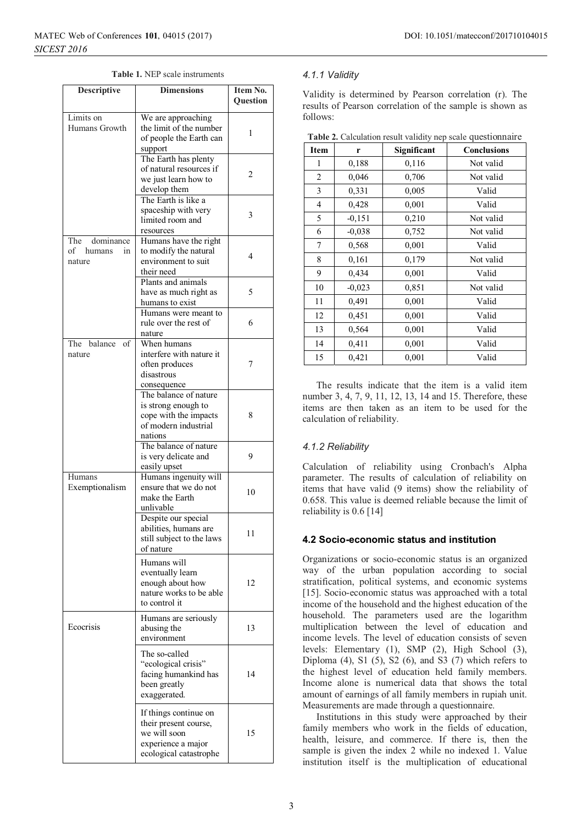| <b>Table 1. NEP</b> scale instruments |  |  |
|---------------------------------------|--|--|
|---------------------------------------|--|--|

| Descriptive                                      | <b>Dimensions</b>                                                                                              | Item No.<br><b>Question</b> |
|--------------------------------------------------|----------------------------------------------------------------------------------------------------------------|-----------------------------|
| Limits on<br>Humans Growth                       | We are approaching<br>the limit of the number<br>of people the Earth can<br>support                            | 1                           |
|                                                  | The Earth has plenty<br>of natural resources if<br>we just learn how to<br>develop them                        | 2                           |
|                                                  | The Earth is like a<br>spaceship with very<br>limited room and<br>resources                                    | 3                           |
| The<br>dominance<br>of<br>humans<br>in<br>nature | Humans have the right<br>to modify the natural<br>environment to suit<br>their need                            | 4                           |
|                                                  | Plants and animals<br>have as much right as<br>humans to exist                                                 | 5                           |
|                                                  | Humans were meant to<br>rule over the rest of<br>nature                                                        | 6                           |
| The<br>balance<br>οf<br>nature                   | When humans<br>interfere with nature it<br>often produces<br>disastrous<br>consequence                         | 7                           |
|                                                  | The balance of nature<br>is strong enough to<br>cope with the impacts<br>of modern industrial<br>nations       | 8                           |
|                                                  | The balance of nature<br>is very delicate and<br>easily upset                                                  | 9                           |
| Humans<br>Exemptionalism                         | Humans ingenuity will<br>ensure that we do not<br>make the Earth<br>unlivable                                  | 10                          |
|                                                  | Despite our special<br>abilities, humans are<br>still subject to the laws<br>of nature                         | 11                          |
|                                                  | Humans will<br>eventually learn<br>enough about how<br>nature works to be able<br>to control it                | 12                          |
| Ecocrisis                                        | Humans are seriously<br>abusing the<br>environment                                                             | 13                          |
|                                                  | The so-called<br>"ecological crisis"<br>facing humankind has<br>been greatly<br>exaggerated.                   | 14                          |
|                                                  | If things continue on<br>their present course,<br>we will soon<br>experience a major<br>ecological catastrophe | 15                          |

#### *4.1.1 Validity*

Validity is determined by Pearson correlation (r). The results of Pearson correlation of the sample is shown as follows:

| Table 2. Calculation result validity nep scale questionnaire |  |  |
|--------------------------------------------------------------|--|--|
|--------------------------------------------------------------|--|--|

| <b>Item</b>    | r        | Significant | <b>Conclusions</b> |  |
|----------------|----------|-------------|--------------------|--|
| 1              | 0,188    | 0,116       | Not valid          |  |
| 2              | 0,046    | 0,706       | Not valid          |  |
| 3              | 0,331    | 0,005       | Valid              |  |
| $\overline{4}$ | 0,428    | 0,001       | Valid              |  |
| 5              | $-0.151$ | 0,210       | Not valid          |  |
| 6              | $-0,038$ | 0,752       | Not valid          |  |
| 7              | 0,568    | 0,001       | Valid              |  |
| 8              | 0,161    | 0,179       | Not valid          |  |
| 9              | 0,434    | 0,001       | Valid              |  |
| 10             | $-0,023$ | 0,851       | Not valid          |  |
| 11             | 0,491    | 0,001       | Valid              |  |
| 12             | 0,451    | 0,001       | Valid              |  |
| 13             | 0,564    | 0,001       | Valid              |  |
| 14             | 0,411    | 0,001       | Valid              |  |
| 15             | 0,421    | 0,001       | Valid              |  |

The results indicate that the item is a valid item number 3, 4, 7, 9, 11, 12, 13, 14 and 15. Therefore, these items are then taken as an item to be used for the calculation of reliability.

#### *4.1.2 Reliability*

Calculation of reliability using Cronbach's Alpha parameter. The results of calculation of reliability on items that have valid (9 items) show the reliability of 0.658. This value is deemed reliable because the limit of reliability is 0.6 [14]

#### **4.2 Socio-economic status and institution**

Organizations or socio-economic status is an organized way of the urban population according to social stratification, political systems, and economic systems [15]. Socio-economic status was approached with a total income of the household and the highest education of the household. The parameters used are the logarithm multiplication between the level of education and income levels. The level of education consists of seven levels: Elementary (1), SMP (2), High School (3), Diploma  $(4)$ , S1  $(5)$ , S2  $(6)$ , and S3  $(7)$  which refers to the highest level of education held family members. Income alone is numerical data that shows the total amount of earnings of all family members in rupiah unit. Measurements are made through a questionnaire.

Institutions in this study were approached by their family members who work in the fields of education, health, leisure, and commerce. If there is, then the sample is given the index 2 while no indexed 1. Value institution itself is the multiplication of educational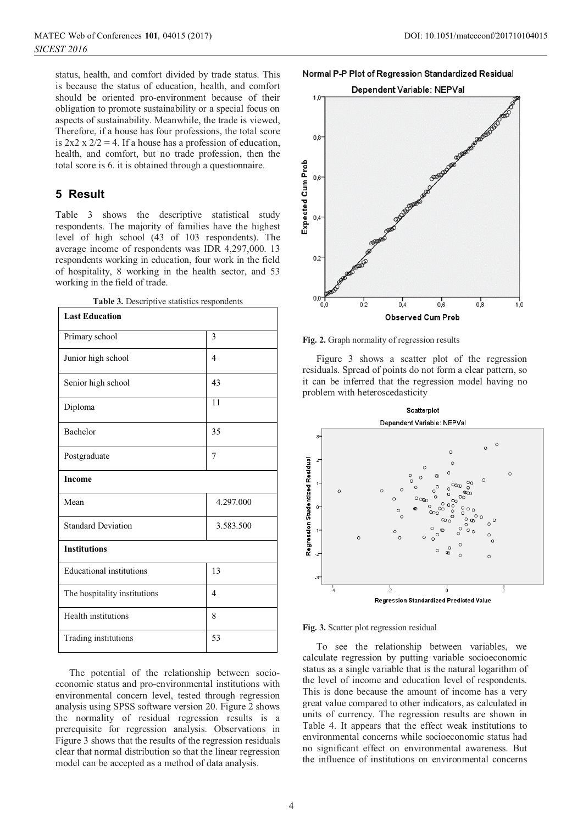status, health, and comfort divided by trade status. This is because the status of education, health, and comfort should be oriented pro-environment because of their obligation to promote sustainability or a special focus on aspects of sustainability. Meanwhile, the trade is viewed, Therefore, if a house has four professions, the total score is  $2x^2 \times 2/2 = 4$ . If a house has a profession of education, health, and comfort, but no trade profession, then the total score is 6. it is obtained through a questionnaire.

## **5 Result**

Table 3 shows the descriptive statistical study respondents. The majority of families have the highest level of high school (43 of 103 respondents). The average income of respondents was IDR 4,297,000. 13 respondents working in education, four work in the field of hospitality, 8 working in the health sector, and 53 working in the field of trade.

| Table 3. Descriptive statistics respondents |                |  |  |  |
|---------------------------------------------|----------------|--|--|--|
| <b>Last Education</b>                       |                |  |  |  |
| Primary school                              | $\overline{3}$ |  |  |  |
| Junior high school                          | $\overline{4}$ |  |  |  |
| Senior high school                          | 43             |  |  |  |
| Diploma                                     | 11             |  |  |  |
| Bachelor                                    | 35             |  |  |  |
| Postgraduate                                | 7              |  |  |  |
| <b>Income</b>                               |                |  |  |  |
| Mean                                        | 4.297.000      |  |  |  |
| <b>Standard Deviation</b>                   | 3.583.500      |  |  |  |
| <b>Institutions</b>                         |                |  |  |  |
| <b>Educational institutions</b>             | 13             |  |  |  |
| The hospitality institutions                | $\overline{4}$ |  |  |  |
| Health institutions                         | 8              |  |  |  |
| Trading institutions                        | 53             |  |  |  |

The potential of the relationship between socioeconomic status and pro-environmental institutions with environmental concern level, tested through regression analysis using SPSS software version 20. Figure 2 shows the normality of residual regression results is a prerequisite for regression analysis. Observations in Figure 3 shows that the results of the regression residuals clear that normal distribution so that the linear regression model can be accepted as a method of data analysis.





**Fig. 2.** Graph normality of regression results

Figure 3 shows a scatter plot of the regression residuals. Spread of points do not form a clear pattern, so it can be inferred that the regression model having no problem with heteroscedasticity



**Fig. 3.** Scatter plot regression residual

To see the relationship between variables, we calculate regression by putting variable socioeconomic status as a single variable that is the natural logarithm of the level of income and education level of respondents. This is done because the amount of income has a very great value compared to other indicators, as calculated in units of currency. The regression results are shown in Table 4. It appears that the effect weak institutions to environmental concerns while socioeconomic status had no significant effect on environmental awareness. But the influence of institutions on environmental concerns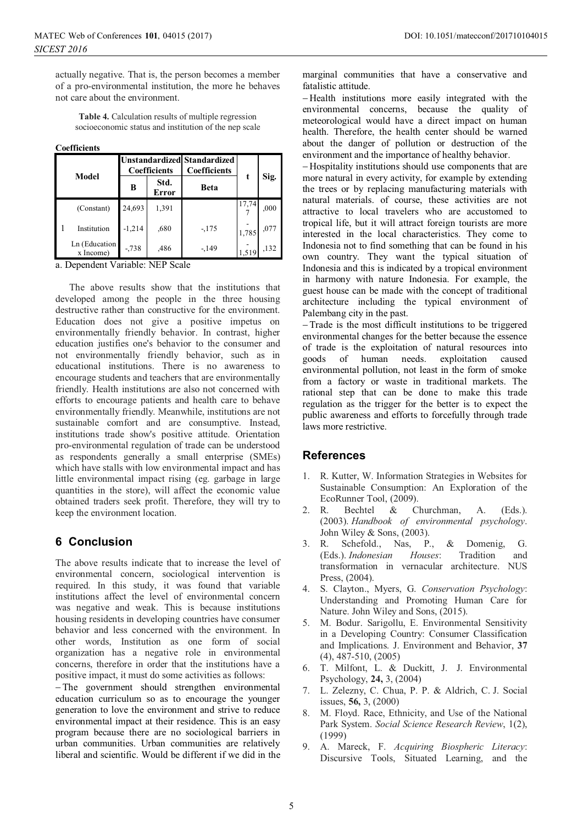actually negative. That is, the person becomes a member of a pro-environmental institution, the more he behaves not care about the environment.

**Table 4.** Calculation results of multiple regression socioeconomic status and institution of the nep scale

**Coefficients**

| Model |                            | Unstandardized Standardized<br><b>Coefficients</b> |               | <b>Coefficients</b> |       | Sig. |
|-------|----------------------------|----------------------------------------------------|---------------|---------------------|-------|------|
|       |                            | B                                                  | Std.<br>Error | t<br><b>Beta</b>    |       |      |
|       | (Constant)                 | 24,693                                             | 1,391         |                     | 17,74 | ,000 |
|       | Institution                | $-1,214$                                           | .680          | $-175$              | 1,785 | ,077 |
|       | Ln (Education<br>x Income) | $-738$                                             | ,486          | $-149$              | 1,519 | ,132 |

a. Dependent Variable: NEP Scale

The above results show that the institutions that developed among the people in the three housing destructive rather than constructive for the environment. Education does not give a positive impetus on environmentally friendly behavior. In contrast, higher education justifies one's behavior to the consumer and not environmentally friendly behavior, such as in educational institutions. There is no awareness to encourage students and teachers that are environmentally friendly. Health institutions are also not concerned with efforts to encourage patients and health care to behave environmentally friendly. Meanwhile, institutions are not sustainable comfort and are consumptive. Instead, institutions trade show's positive attitude. Orientation pro-environmental regulation of trade can be understood as respondents generally a small enterprise (SMEs) which have stalls with low environmental impact and has little environmental impact rising (eg. garbage in large quantities in the store), will affect the economic value obtained traders seek profit. Therefore, they will try to keep the environment location.

## **6 Conclusion**

The above results indicate that to increase the level of environmental concern, sociological intervention is required. In this study, it was found that variable institutions affect the level of environmental concern was negative and weak. This is because institutions housing residents in developing countries have consumer behavior and less concerned with the environment. In other words, Institution as one form of social organization has a negative role in environmental concerns, therefore in order that the institutions have a positive impact, it must do some activities as follows:

- The government should strengthen environmental education curriculum so as to encourage the younger generation to love the environment and strive to reduce environmental impact at their residence. This is an easy program because there are no sociological barriers in urban communities. Urban communities are relatively liberal and scientific. Would be different if we did in the marginal communities that have a conservative and fatalistic attitude.

- Health institutions more easily integrated with the environmental concerns, because the quality of meteorological would have a direct impact on human health. Therefore, the health center should be warned about the danger of pollution or destruction of the environment and the importance of healthy behavior.

- Hospitality institutions should use components that are more natural in every activity, for example by extending the trees or by replacing manufacturing materials with natural materials. of course, these activities are not attractive to local travelers who are accustomed to tropical life, but it will attract foreign tourists are more interested in the local characteristics. They come to Indonesia not to find something that can be found in his own country. They want the typical situation of Indonesia and this is indicated by a tropical environment in harmony with nature Indonesia. For example, the guest house can be made with the concept of traditional architecture including the typical environment of Palembang city in the past.

- Trade is the most difficult institutions to be triggered environmental changes for the better because the essence of trade is the exploitation of natural resources into goods of human needs. exploitation caused environmental pollution, not least in the form of smoke from a factory or waste in traditional markets. The rational step that can be done to make this trade regulation as the trigger for the better is to expect the public awareness and efforts to forcefully through trade laws more restrictive.

## **References**

- 1. R. Kutter, W. Information Strategies in Websites for Sustainable Consumption: An Exploration of the EcoRunner Tool, (2009).
- 2. R. Bechtel & Churchman, A. (Eds.). (2003). *Handbook of environmental psychology*. John Wiley & Sons, (2003).
- 3. R. Schefold., Nas, P., & Domenig, G. (Eds.). *Indonesian Houses*: Tradition and transformation in vernacular architecture. NUS Press, (2004).
- 4. S. Clayton., Myers, G. *Conservation Psychology*: Understanding and Promoting Human Care for Nature. John Wiley and Sons, (2015).
- 5. M. Bodur. Sarigollu, E. Environmental Sensitivity in a Developing Country: Consumer Classification and Implications. J. Environment and Behavior, **37** (4), 487-510, (2005)
- 6. T. Milfont, L. & Duckitt, J. J. Environmental Psychology, **24,** 3, (2004)
- 7. L. Zelezny, C. Chua, P. P. & Aldrich, C. J. Social issues, **56,** 3, (2000)
- 8. M. Floyd. Race, Ethnicity, and Use of the National Park System. *Social Science Research Review*, 1(2), (1999)
- 9. A. Mareck, F. *Acquiring Biospheric Literacy*: Discursive Tools, Situated Learning, and the